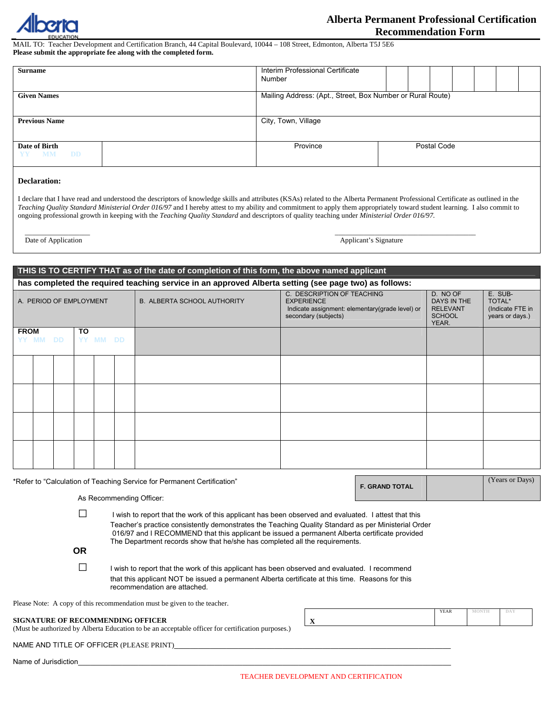

# **Alberta Permanent Professional Certification Recommendation Form**

YEAR **MONTH DAY** 

MAIL TO: Teacher Development and Certification Branch, 44 Capital Boulevard, 10044 – 108 Street, Edmonton, Alberta T5J 5E6 **Please submit the appropriate fee along with the completed form.** 

| <b>Surname</b>                                  | Interim Professional Certificate<br>Number                 |  |  |             |  |  |  |  |
|-------------------------------------------------|------------------------------------------------------------|--|--|-------------|--|--|--|--|
| <b>Given Names</b>                              | Mailing Address: (Apt., Street, Box Number or Rural Route) |  |  |             |  |  |  |  |
| <b>Previous Name</b>                            | City, Town, Village                                        |  |  |             |  |  |  |  |
| Date of Birth<br>$_{\rm MM}$<br><b>DD</b><br>YY | Province                                                   |  |  | Postal Code |  |  |  |  |

## **Declaration:**

I declare that I have read and understood the descriptors of knowledge skills and attributes (KSAs) related to the Alberta Permanent Professional Certificate as outlined in the *Teaching Quality Standard Ministerial Order 016/97* and I hereby attest to my ability and commitment to apply them appropriately toward student learning. I also commit to ongoing professional growth in keeping with the *Teaching Quality Standard* and descriptors of quality teaching under *Ministerial Order 016/97.* 

 $\frac{1}{2}$  ,  $\frac{1}{2}$  ,  $\frac{1}{2}$  ,  $\frac{1}{2}$  ,  $\frac{1}{2}$  ,  $\frac{1}{2}$  ,  $\frac{1}{2}$  ,  $\frac{1}{2}$  ,  $\frac{1}{2}$  ,  $\frac{1}{2}$  ,  $\frac{1}{2}$  ,  $\frac{1}{2}$  ,  $\frac{1}{2}$  ,  $\frac{1}{2}$  ,  $\frac{1}{2}$  ,  $\frac{1}{2}$  ,  $\frac{1}{2}$  ,  $\frac{1}{2}$  ,  $\frac{1$ 

Date of Application Application Application Applicative Signature Applicant's Signature

# **THIS IS TO CERTIFY THAT as of the date of completion of this form, the above named applicant has completed the required teaching service in an approved Alberta setting (see page two) as follows:**  A. PERIOD OF EMPLOYMENT B. ALBERTA SCHOOL AUTHORITY C. DESCRIPTION OF TEACHING EXPERIENCE Indicate assignment: elementary(grade level) or secondary (subjects) D. NO OF DAYS IN THE RELEVANT **SCHOOL** YEAR. E. SUB-TOTAL\* (Indicate FTE in years or days.) **FROM YY MM DD TO YY MM DD**  (Years or Days)

|                                                                             | *Refer to "Calculation of Teaching Service for Permanent Certification"                                                                                                                                                                                                                                      | <b>F. GRAND TOTAL</b> | (Years or Days) |
|-----------------------------------------------------------------------------|--------------------------------------------------------------------------------------------------------------------------------------------------------------------------------------------------------------------------------------------------------------------------------------------------------------|-----------------------|-----------------|
|                                                                             | As Recommending Officer:                                                                                                                                                                                                                                                                                     |                       |                 |
| The Department records show that he/she has completed all the requirements. | I wish to report that the work of this applicant has been observed and evaluated. I attest that this<br>Teacher's practice consistently demonstrates the Teaching Quality Standard as per Ministerial Order<br>016/97 and I RECOMMEND that this applicant be issued a permanent Alberta certificate provided |                       |                 |
|                                                                             |                                                                                                                                                                                                                                                                                                              |                       |                 |

□ I wish to report that the work of this applicant has been observed and evaluated. I recommend that this applicant NOT be issued a permanent Alberta certificate at this time. Reasons for this recommendation are attached.

Please Note: A copy of this recommendation must be given to the teacher.

|  |  | SIGNATURE OF RECOMMENDING OFFICER |
|--|--|-----------------------------------|
|  |  |                                   |

(Must be authorized by Alberta Education to be an acceptable officer for certification purposes.)

NAME AND TITLE OF OFFICER (PLEASE PRINT)

Name of Jurisdiction

**X**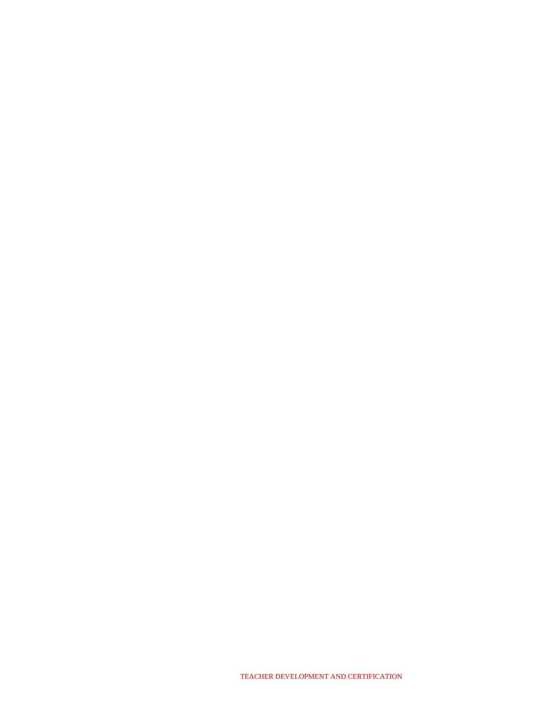TEACHER DEVELOPMENT AND CERTIFICATION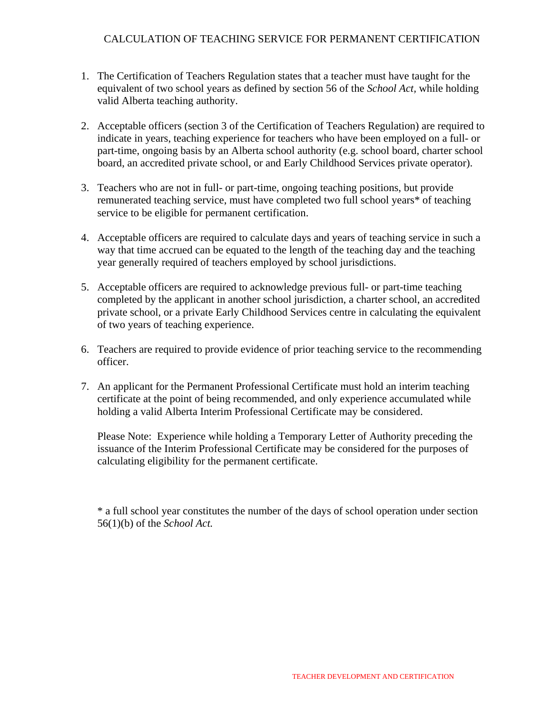- 1. The Certification of Teachers Regulation states that a teacher must have taught for the equivalent of two school years as defined by section 56 of the *School Act,* while holding valid Alberta teaching authority.
- 2. Acceptable officers (section 3 of the Certification of Teachers Regulation) are required to indicate in years, teaching experience for teachers who have been employed on a full- or part-time, ongoing basis by an Alberta school authority (e.g. school board, charter school board, an accredited private school, or and Early Childhood Services private operator).
- 3. Teachers who are not in full- or part-time, ongoing teaching positions, but provide remunerated teaching service, must have completed two full school years\* of teaching service to be eligible for permanent certification.
- 4. Acceptable officers are required to calculate days and years of teaching service in such a way that time accrued can be equated to the length of the teaching day and the teaching year generally required of teachers employed by school jurisdictions.
- 5. Acceptable officers are required to acknowledge previous full- or part-time teaching completed by the applicant in another school jurisdiction, a charter school, an accredited private school, or a private Early Childhood Services centre in calculating the equivalent of two years of teaching experience.
- 6. Teachers are required to provide evidence of prior teaching service to the recommending officer.
- 7. An applicant for the Permanent Professional Certificate must hold an interim teaching certificate at the point of being recommended, and only experience accumulated while holding a valid Alberta Interim Professional Certificate may be considered.

Please Note: Experience while holding a Temporary Letter of Authority preceding the issuance of the Interim Professional Certificate may be considered for the purposes of calculating eligibility for the permanent certificate.

\* a full school year constitutes the number of the days of school operation under section 56(1)(b) of the *School Act.*